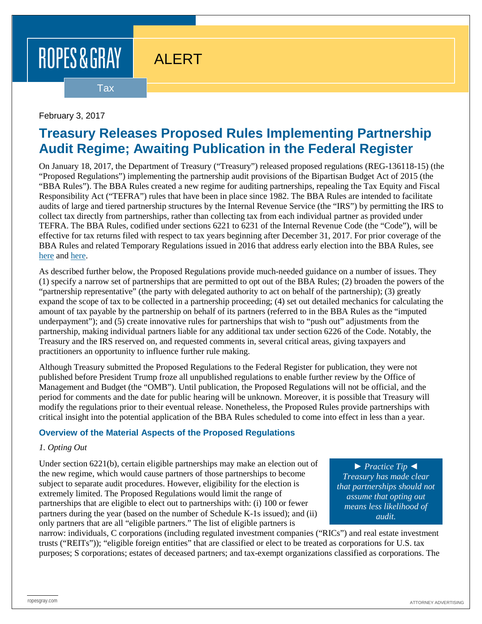# ALERT

Tax

# February 3, 2017

# **Treasury Releases Proposed Rules Implementing Partnership Audit Regime; Awaiting Publication in the Federal Register**

On January 18, 2017, the Department of Treasury ("Treasury") released proposed regulations (REG-136118-15) (the "Proposed Regulations") implementing the partnership audit provisions of the Bipartisan Budget Act of 2015 (the "BBA Rules"). The BBA Rules created a new regime for auditing partnerships, repealing the Tax Equity and Fiscal Responsibility Act ("TEFRA") rules that have been in place since 1982. The BBA Rules are intended to facilitate audits of large and tiered partnership structures by the Internal Revenue Service (the "IRS") by permitting the IRS to collect tax directly from partnerships, rather than collecting tax from each individual partner as provided under TEFRA. The BBA Rules, codified under sections 6221 to 6231 of the Internal Revenue Code (the "Code"), will be effective for tax returns filed with respect to tax years beginning after December 31, 2017. For prior coverage of the BBA Rules and related Temporary Regulations issued in 2016 that address early election into the BBA Rules, see [here](https://www.ropesgray.com/newsroom/alerts/2015/November/Partnership-Audit-Reform-Pased-Into-Law.aspx) and [here.](https://www.ropesgray.com/newsroom/alerts/2016/August/Proposed-Treasury-Regulations-Will-Eliminate-Most-Valuation-Discounts-in-Connection-with-Transfers.aspx)

As described further below, the Proposed Regulations provide much-needed guidance on a number of issues. They (1) specify a narrow set of partnerships that are permitted to opt out of the BBA Rules; (2) broaden the powers of the "partnership representative" (the party with delegated authority to act on behalf of the partnership); (3) greatly expand the scope of tax to be collected in a partnership proceeding; (4) set out detailed mechanics for calculating the amount of tax payable by the partnership on behalf of its partners (referred to in the BBA Rules as the "imputed underpayment"); and (5) create innovative rules for partnerships that wish to "push out" adjustments from the partnership, making individual partners liable for any additional tax under section 6226 of the Code. Notably, the Treasury and the IRS reserved on, and requested comments in, several critical areas, giving taxpayers and practitioners an opportunity to influence further rule making.

Although Treasury submitted the Proposed Regulations to the Federal Register for publication, they were not published before President Trump froze all unpublished regulations to enable further review by the Office of Management and Budget (the "OMB"). Until publication, the Proposed Regulations will not be official, and the period for comments and the date for public hearing will be unknown. Moreover, it is possible that Treasury will modify the regulations prior to their eventual release. Nonetheless, the Proposed Rules provide partnerships with critical insight into the potential application of the BBA Rules scheduled to come into effect in less than a year.

## **Overview of the Material Aspects of the Proposed Regulations**

#### *1. Opting Out*

Under section 6221(b), certain eligible partnerships may make an election out of the new regime, which would cause partners of those partnerships to become subject to separate audit procedures. However, eligibility for the election is extremely limited. The Proposed Regulations would limit the range of partnerships that are eligible to elect out to partnerships with: (i) 100 or fewer partners during the year (based on the number of Schedule K-1s issued); and (ii) only partners that are all "eligible partners." The list of eligible partners is

► *Practice Tip* ◄ *Treasury has made clear that partnerships should not assume that opting out means less likelihood of audit.*

narrow: individuals, C corporations (including regulated investment companies ("RICs") and real estate investment trusts ("REITs")); "eligible foreign entities" that are classified or elect to be treated as corporations for U.S. tax purposes; S corporations; estates of deceased partners; and tax-exempt organizations classified as corporations. The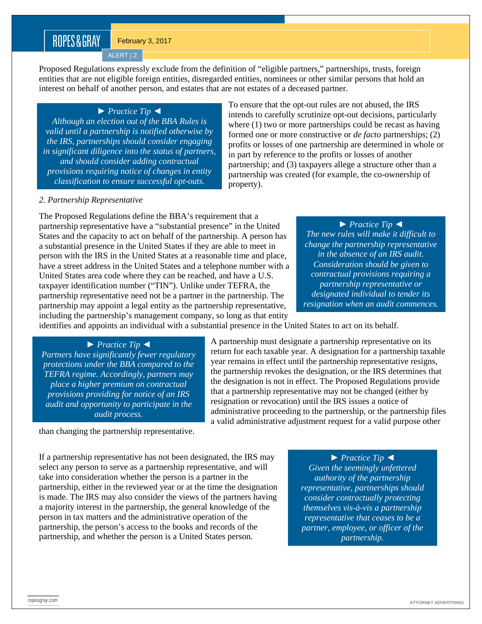February 3, 2017

ALERT | 2

Proposed Regulations expressly exclude from the definition of "eligible partners," partnerships, trusts, foreign entities that are not eligible foreign entities, disregarded entities, nominees or other similar persons that hold an interest on behalf of another person, and estates that are not estates of a deceased partner.

► *Practice Tip* ◄

*Although an election out of the BBA Rules is valid until a partnership is notified otherwise by the IRS, partnerships should consider engaging in significant diligence into the status of partners, and should consider adding contractual provisions requiring notice of changes in entity classification to ensure successful opt-outs.*

To ensure that the opt-out rules are not abused, the IRS intends to carefully scrutinize opt-out decisions, particularly where (1) two or more partnerships could be recast as having formed one or more constructive or *de facto* partnerships; (2) profits or losses of one partnership are determined in whole or in part by reference to the profits or losses of another partnership; and (3) taxpayers allege a structure other than a partnership was created (for example, the co-ownership of property).

### *2. Partnership Representative*

The Proposed Regulations define the BBA's requirement that a partnership representative have a "substantial presence" in the United States and the capacity to act on behalf of the partnership. A person has a substantial presence in the United States if they are able to meet in person with the IRS in the United States at a reasonable time and place, have a street address in the United States and a telephone number with a United States area code where they can be reached, and have a U.S. taxpayer identification number ("TIN"). Unlike under TEFRA, the partnership representative need not be a partner in the partnership. The partnership may appoint a legal entity as the partnership representative, including the partnership's management company, so long as that entity

► *Practice Tip* ◄ *The new rules will make it difficult to change the partnership representative in the absence of an IRS audit. Consideration should be given to contractual provisions requiring a partnership representative or designated individual to tender its resignation when an audit commences.*

identifies and appoints an individual with a substantial presence in the United States to act on its behalf.

#### ► *Practice Tip* ◄

*Partners have significantly fewer regulatory protections under the BBA compared to the TEFRA regime. Accordingly, partners may place a higher premium on contractual provisions providing for notice of an IRS audit and opportunity to participate in the audit process.*

A partnership must designate a partnership representative on its return for each taxable year. A designation for a partnership taxable year remains in effect until the partnership representative resigns, the partnership revokes the designation, or the IRS determines that the designation is not in effect. The Proposed Regulations provide that a partnership representative may not be changed (either by resignation or revocation) until the IRS issues a notice of administrative proceeding to the partnership, or the partnership files a valid administrative adjustment request for a valid purpose other

than changing the partnership representative.

If a partnership representative has not been designated, the IRS may select any person to serve as a partnership representative, and will take into consideration whether the person is a partner in the partnership, either in the reviewed year or at the time the designation is made. The IRS may also consider the views of the partners having a majority interest in the partnership, the general knowledge of the person in tax matters and the administrative operation of the partnership, the person's access to the books and records of the partnership, and whether the person is a United States person.

► *Practice Tip* ◄

*Given the seemingly unfettered authority of the partnership representative, partnerships should consider contractually protecting themselves vis-à-vis a partnership representative that ceases to be a partner, employee, or officer of the partnership.*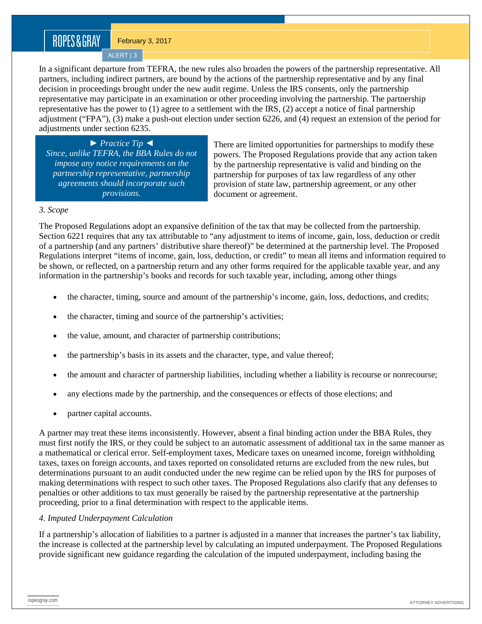February 3, 2017

ALERT | 3

In a significant departure from TEFRA, the new rules also broaden the powers of the partnership representative. All partners, including indirect partners, are bound by the actions of the partnership representative and by any final decision in proceedings brought under the new audit regime. Unless the IRS consents, only the partnership representative may participate in an examination or other proceeding involving the partnership. The partnership representative has the power to (1) agree to a settlement with the IRS, (2) accept a notice of final partnership adjustment ("FPA"), (3) make a push-out election under section 6226, and (4) request an extension of the period for adjustments under section 6235.

► *Practice Tip* ◄ *Since, unlike TEFRA, the BBA Rules do not impose any notice requirements on the partnership representative, partnership agreements should incorporate such provisions.*

There are limited opportunities for partnerships to modify these powers. The Proposed Regulations provide that any action taken by the partnership representative is valid and binding on the partnership for purposes of tax law regardless of any other provision of state law, partnership agreement, or any other document or agreement.

#### *3. Scope*

The Proposed Regulations adopt an expansive definition of the tax that may be collected from the partnership. Section 6221 requires that any tax attributable to "any adjustment to items of income, gain, loss, deduction or credit of a partnership (and any partners' distributive share thereof)" be determined at the partnership level. The Proposed Regulations interpret "items of income, gain, loss, deduction, or credit" to mean all items and information required to be shown, or reflected, on a partnership return and any other forms required for the applicable taxable year, and any information in the partnership's books and records for such taxable year, including, among other things

- the character, timing, source and amount of the partnership's income, gain, loss, deductions, and credits;
- the character, timing and source of the partnership's activities;
- the value, amount, and character of partnership contributions;
- the partnership's basis in its assets and the character, type, and value thereof;
- the amount and character of partnership liabilities, including whether a liability is recourse or nonrecourse;
- any elections made by the partnership, and the consequences or effects of those elections; and
- partner capital accounts.

A partner may treat these items inconsistently. However, absent a final binding action under the BBA Rules, they must first notify the IRS, or they could be subject to an automatic assessment of additional tax in the same manner as a mathematical or clerical error. Self-employment taxes, Medicare taxes on unearned income, foreign withholding taxes, taxes on foreign accounts, and taxes reported on consolidated returns are excluded from the new rules, but determinations pursuant to an audit conducted under the new regime can be relied upon by the IRS for purposes of making determinations with respect to such other taxes. The Proposed Regulations also clarify that any defenses to penalties or other additions to tax must generally be raised by the partnership representative at the partnership proceeding, prior to a final determination with respect to the applicable items.

## *4. Imputed Underpayment Calculation*

If a partnership's allocation of liabilities to a partner is adjusted in a manner that increases the partner's tax liability, the increase is collected at the partnership level by calculating an imputed underpayment. The Proposed Regulations provide significant new guidance regarding the calculation of the imputed underpayment, including basing the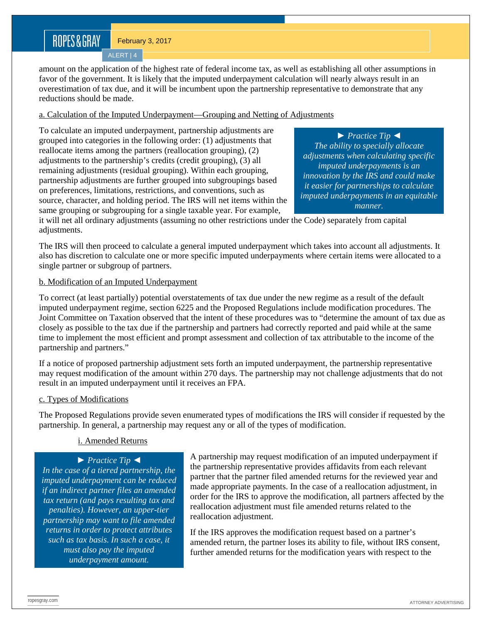ALERT | 4

amount on the application of the highest rate of federal income tax, as well as establishing all other assumptions in favor of the government. It is likely that the imputed underpayment calculation will nearly always result in an overestimation of tax due, and it will be incumbent upon the partnership representative to demonstrate that any reductions should be made.

### a. Calculation of the Imputed Underpayment—Grouping and Netting of Adjustments

To calculate an imputed underpayment, partnership adjustments are grouped into categories in the following order: (1) adjustments that reallocate items among the partners (reallocation grouping), (2) adjustments to the partnership's credits (credit grouping), (3) all remaining adjustments (residual grouping). Within each grouping, partnership adjustments are further grouped into subgroupings based on preferences, limitations, restrictions, and conventions, such as source, character, and holding period. The IRS will net items within the same grouping or subgrouping for a single taxable year. For example,

► *Practice Tip* ◄ *The ability to specially allocate adjustments when calculating specific imputed underpayments is an innovation by the IRS and could make it easier for partnerships to calculate imputed underpayments in an equitable manner.*

it will net all ordinary adjustments (assuming no other restrictions under the Code) separately from capital adjustments.

The IRS will then proceed to calculate a general imputed underpayment which takes into account all adjustments. It also has discretion to calculate one or more specific imputed underpayments where certain items were allocated to a single partner or subgroup of partners.

### b. Modification of an Imputed Underpayment

To correct (at least partially) potential overstatements of tax due under the new regime as a result of the default imputed underpayment regime, section 6225 and the Proposed Regulations include modification procedures. The Joint Committee on Taxation observed that the intent of these procedures was to "determine the amount of tax due as closely as possible to the tax due if the partnership and partners had correctly reported and paid while at the same time to implement the most efficient and prompt assessment and collection of tax attributable to the income of the partnership and partners."

If a notice of proposed partnership adjustment sets forth an imputed underpayment, the partnership representative may request modification of the amount within 270 days. The partnership may not challenge adjustments that do not result in an imputed underpayment until it receives an FPA.

#### c. Types of Modifications

The Proposed Regulations provide seven enumerated types of modifications the IRS will consider if requested by the partnership. In general, a partnership may request any or all of the types of modification.

## i. Amended Returns

► *Practice Tip* ◄

*In the case of a tiered partnership, the imputed underpayment can be reduced if an indirect partner files an amended tax return (and pays resulting tax and penalties). However, an upper-tier partnership may want to file amended returns in order to protect attributes such as tax basis. In such a case, it must also pay the imputed underpayment amount.*

A partnership may request modification of an imputed underpayment if the partnership representative provides affidavits from each relevant partner that the partner filed amended returns for the reviewed year and made appropriate payments. In the case of a reallocation adjustment, in order for the IRS to approve the modification, all partners affected by the reallocation adjustment must file amended returns related to the reallocation adjustment.

If the IRS approves the modification request based on a partner's amended return, the partner loses its ability to file, without IRS consent, further amended returns for the modification years with respect to the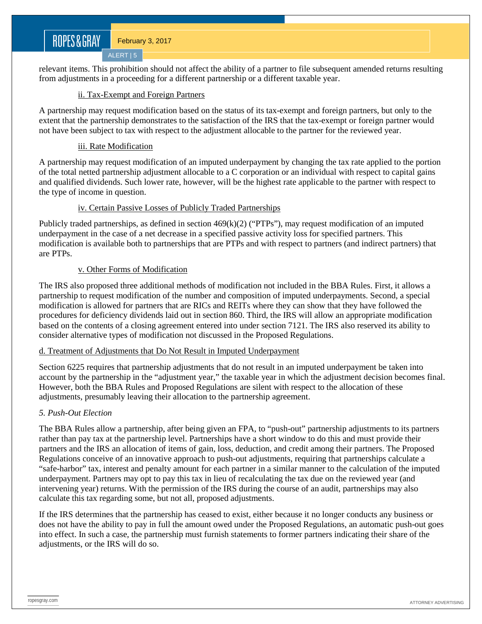relevant items. This prohibition should not affect the ability of a partner to file subsequent amended returns resulting from adjustments in a proceeding for a different partnership or a different taxable year.

## ii. Tax-Exempt and Foreign Partners

A partnership may request modification based on the status of its tax-exempt and foreign partners, but only to the extent that the partnership demonstrates to the satisfaction of the IRS that the tax-exempt or foreign partner would not have been subject to tax with respect to the adjustment allocable to the partner for the reviewed year.

### iii. Rate Modification

ALERT | 5

A partnership may request modification of an imputed underpayment by changing the tax rate applied to the portion of the total netted partnership adjustment allocable to a C corporation or an individual with respect to capital gains and qualified dividends. Such lower rate, however, will be the highest rate applicable to the partner with respect to the type of income in question.

### iv. Certain Passive Losses of Publicly Traded Partnerships

Publicly traded partnerships, as defined in section  $469(k)(2)$  ("PTPs"), may request modification of an imputed underpayment in the case of a net decrease in a specified passive activity loss for specified partners. This modification is available both to partnerships that are PTPs and with respect to partners (and indirect partners) that are PTPs.

### v. Other Forms of Modification

The IRS also proposed three additional methods of modification not included in the BBA Rules. First, it allows a partnership to request modification of the number and composition of imputed underpayments. Second, a special modification is allowed for partners that are RICs and REITs where they can show that they have followed the procedures for deficiency dividends laid out in section 860. Third, the IRS will allow an appropriate modification based on the contents of a closing agreement entered into under section 7121. The IRS also reserved its ability to consider alternative types of modification not discussed in the Proposed Regulations.

#### d. Treatment of Adjustments that Do Not Result in Imputed Underpayment

Section 6225 requires that partnership adjustments that do not result in an imputed underpayment be taken into account by the partnership in the "adjustment year," the taxable year in which the adjustment decision becomes final. However, both the BBA Rules and Proposed Regulations are silent with respect to the allocation of these adjustments, presumably leaving their allocation to the partnership agreement.

## *5. Push-Out Election*

The BBA Rules allow a partnership, after being given an FPA, to "push-out" partnership adjustments to its partners rather than pay tax at the partnership level. Partnerships have a short window to do this and must provide their partners and the IRS an allocation of items of gain, loss, deduction, and credit among their partners. The Proposed Regulations conceive of an innovative approach to push-out adjustments, requiring that partnerships calculate a "safe-harbor" tax, interest and penalty amount for each partner in a similar manner to the calculation of the imputed underpayment. Partners may opt to pay this tax in lieu of recalculating the tax due on the reviewed year (and intervening year) returns. With the permission of the IRS during the course of an audit, partnerships may also calculate this tax regarding some, but not all, proposed adjustments.

If the IRS determines that the partnership has ceased to exist, either because it no longer conducts any business or does not have the ability to pay in full the amount owed under the Proposed Regulations, an automatic push-out goes into effect. In such a case, the partnership must furnish statements to former partners indicating their share of the adjustments, or the IRS will do so.